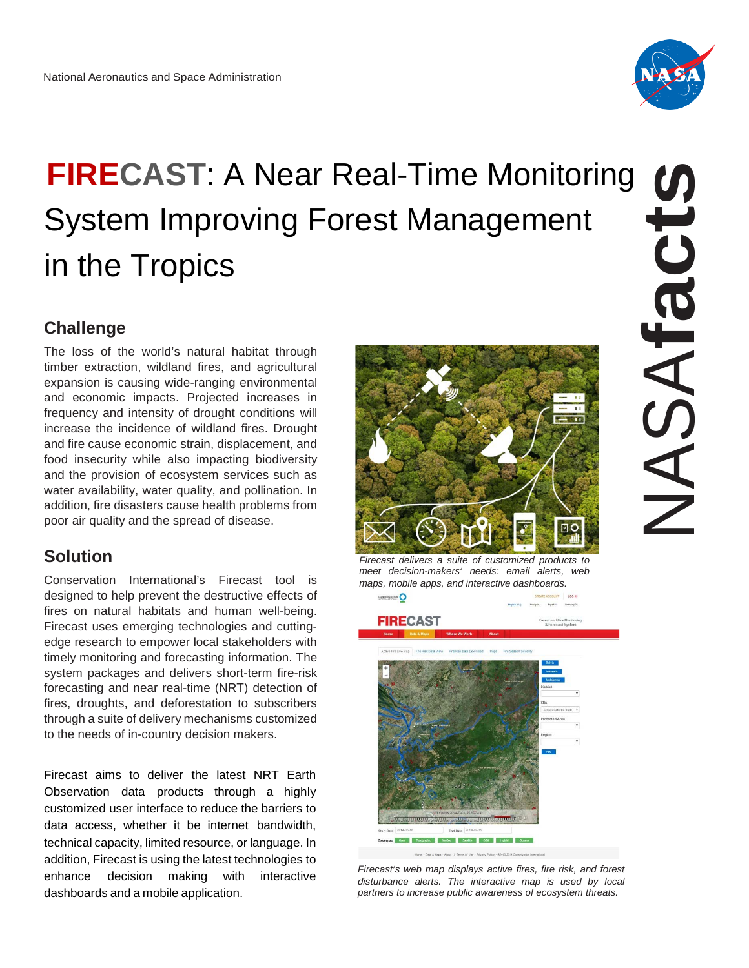

# **FIRECAST**: A Near Real-Time Monitoring System Improving Forest Management in the Tropics

## **Challenge**

The loss of the world's natural habitat through timber extraction, wildland fires, and agricultural expansion is causing wide-ranging environmental and economic impacts. Projected increases in frequency and intensity of drought conditions will increase the incidence of wildland fires. Drought and fire cause economic strain, displacement, and food insecurity while also impacting biodiversity and the provision of ecosystem services such as water availability, water quality, and pollination. In addition, fire disasters cause health problems from poor air quality and the spread of disease.

## **Solution**

Conservation International's Firecast tool is designed to help prevent the destructive effects of fires on natural habitats and human well-being. Firecast uses emerging technologies and cuttingedge research to empower local stakeholders with timely monitoring and forecasting information. The system packages and delivers short-term fire-risk forecasting and near real-time (NRT) detection of fires, droughts, and deforestation to subscribers through a suite of delivery mechanisms customized to the needs of in-country decision makers.

Firecast aims to deliver the latest NRT Earth Observation data products through a highly customized user interface to reduce the barriers to data access, whether it be internet bandwidth, technical capacity, limited resource, or language. In addition, Firecast is using the latest technologies to enhance decision making with interactive dashboards and a mobile application.



*Firecast delivers a suite of customized products to meet decision-makers' needs: email alerts, web maps, mobile apps, and interactive dashboards.*



*Firecast's web map displays active fires, fire risk, and forest disturbance alerts. The interactive map is used by local partners to increase public awareness of ecosystem threats.*